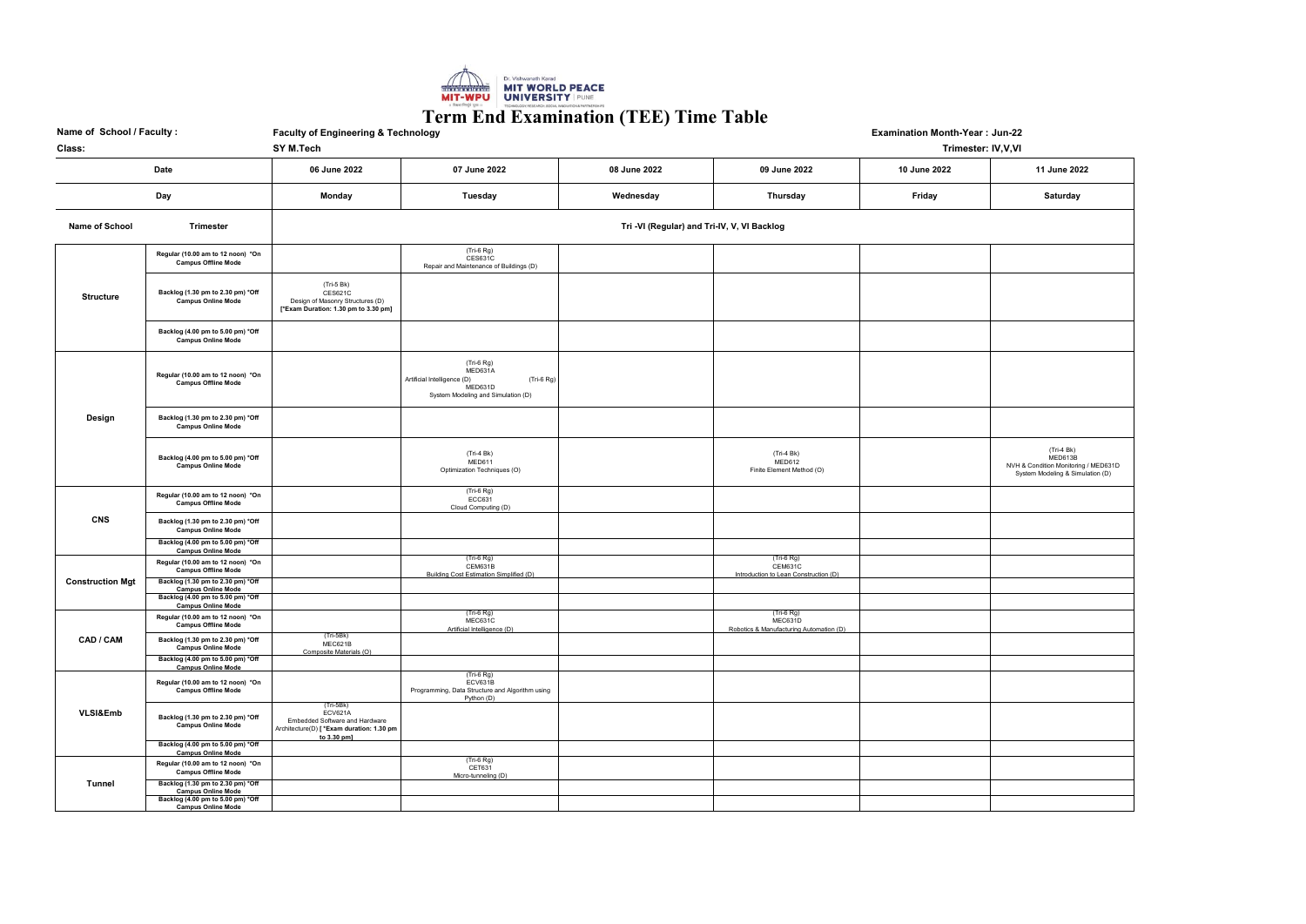| Name of School / Faculty : |                                                                                                                                  | <b>Faculty of Engineering &amp; Technology</b>                                                                       |                                                                                                                       | <b>Examination Month-Year: Jun-22</b> |                                                                    |              |                                                                                                   |  |  |
|----------------------------|----------------------------------------------------------------------------------------------------------------------------------|----------------------------------------------------------------------------------------------------------------------|-----------------------------------------------------------------------------------------------------------------------|---------------------------------------|--------------------------------------------------------------------|--------------|---------------------------------------------------------------------------------------------------|--|--|
| Class:                     |                                                                                                                                  | SY M.Tech                                                                                                            |                                                                                                                       |                                       | Trimester: IV, V, VI                                               |              |                                                                                                   |  |  |
|                            | Date                                                                                                                             | 06 June 2022                                                                                                         | 07 June 2022                                                                                                          | 08 June 2022                          | 09 June 2022                                                       | 10 June 2022 | 11 June 2022                                                                                      |  |  |
|                            | Day                                                                                                                              | Monday                                                                                                               | Tuesday                                                                                                               | Wednesday                             | Thursday                                                           | Friday       | Saturday                                                                                          |  |  |
| Name of School             | <b>Trimester</b>                                                                                                                 |                                                                                                                      | Tri -VI (Regular) and Tri-IV, V, VI Backlog                                                                           |                                       |                                                                    |              |                                                                                                   |  |  |
| <b>Structure</b>           | Regular (10.00 am to 12 noon) *On<br><b>Campus Offline Mode</b>                                                                  |                                                                                                                      | $(Tri-6 Rg)$<br>CES631C<br>Repair and Maintenance of Buildings (D)                                                    |                                       |                                                                    |              |                                                                                                   |  |  |
|                            | Backlog (1.30 pm to 2.30 pm) *Off<br><b>Campus Online Mode</b>                                                                   | (Tri-5 Bk)<br>CES621C<br>Design of Masonry Structures (D)<br>[*Exam Duration: 1.30 pm to 3.30 pm]                    |                                                                                                                       |                                       |                                                                    |              |                                                                                                   |  |  |
|                            | Backlog (4.00 pm to 5.00 pm) *Off<br><b>Campus Online Mode</b>                                                                   |                                                                                                                      |                                                                                                                       |                                       |                                                                    |              |                                                                                                   |  |  |
| Design                     | Regular (10.00 am to 12 noon) *On<br><b>Campus Offline Mode</b>                                                                  |                                                                                                                      | $(Tri-6 Rg)$<br>MED631A<br>(Tri-6 Rg)<br>Artificial Intelligence (D)<br>MED631D<br>System Modeling and Simulation (D) |                                       |                                                                    |              |                                                                                                   |  |  |
|                            | Backlog (1.30 pm to 2.30 pm) *Off<br><b>Campus Online Mode</b>                                                                   |                                                                                                                      |                                                                                                                       |                                       |                                                                    |              |                                                                                                   |  |  |
|                            | Backlog (4.00 pm to 5.00 pm) *Off<br><b>Campus Online Mode</b>                                                                   |                                                                                                                      | $(Tri-4 Bk)$<br>MED611<br>Optimization Techniques (O)                                                                 |                                       | (Tri-4 Bk)<br>MED612<br>Finite Element Method (O)                  |              | (Tri-4 Bk)<br>MED613B<br>NVH & Condition Monitoring / MED631D<br>System Modeling & Simulation (D) |  |  |
| <b>CNS</b>                 | Regular (10.00 am to 12 noon) *On<br><b>Campus Offline Mode</b>                                                                  |                                                                                                                      | $(Tri-6 Rg)$<br>ECC631<br>Cloud Computing (D)                                                                         |                                       |                                                                    |              |                                                                                                   |  |  |
|                            | Backlog (1.30 pm to 2.30 pm) *Off<br><b>Campus Online Mode</b>                                                                   |                                                                                                                      |                                                                                                                       |                                       |                                                                    |              |                                                                                                   |  |  |
|                            | Backlog (4.00 pm to 5.00 pm) *Off<br><b>Campus Online Mode</b>                                                                   |                                                                                                                      |                                                                                                                       |                                       | $(Tri-6 Rg)$                                                       |              |                                                                                                   |  |  |
| <b>Construction Mgt</b>    | Regular (10.00 am to 12 noon) *On<br><b>Campus Offline Mode</b><br>Backlog (1.30 pm to 2.30 pm) *Off                             |                                                                                                                      | (Tri-6 Rg)<br>CEM631B<br>Building Cost Estimation Simplified (D)                                                      |                                       | CEM631C<br>Introduction to Lean Construction (D)                   |              |                                                                                                   |  |  |
|                            | <b>Campus Online Mode</b><br>Backlog (4.00 pm to 5.00 pm) *Off                                                                   |                                                                                                                      |                                                                                                                       |                                       |                                                                    |              |                                                                                                   |  |  |
| <b>CAD / CAM</b>           | <b>Campus Online Mode</b><br>Regular (10.00 am to 12 noon) *On<br><b>Campus Offline Mode</b>                                     |                                                                                                                      | $(Tri-6 Rg)$<br>MEC631C<br>Artificial Intelligence (D)                                                                |                                       | $(Tri-6 Rg)$<br>MEC631D<br>Robotics & Manufacturing Automation (D) |              |                                                                                                   |  |  |
|                            | Backlog (1.30 pm to 2.30 pm) *Off<br><b>Campus Online Mode</b>                                                                   | $(Tri-5Bk)$<br>MEC621B<br>Composite Materials (O)                                                                    |                                                                                                                       |                                       |                                                                    |              |                                                                                                   |  |  |
|                            | Backlog (4.00 pm to 5.00 pm) *Off<br>Campus Online Mode                                                                          |                                                                                                                      |                                                                                                                       |                                       |                                                                    |              |                                                                                                   |  |  |
| <b>VLSI&amp;Emb</b>        | Regular (10.00 am to 12 noon) *On<br><b>Campus Offline Mode</b>                                                                  |                                                                                                                      | $(Tri-6 Rg)$<br>ECV631B<br>Programming, Data Structure and Algorithm using<br>Python (D)                              |                                       |                                                                    |              |                                                                                                   |  |  |
|                            | Backlog (1.30 pm to 2.30 pm) *Off<br><b>Campus Online Mode</b>                                                                   | $(Tri-5Bk)$<br>ECV621A<br>Embedded Software and Hardware<br>Architecture(D) [ *Exam duration: 1.30 pm<br>to 3.30 pm] |                                                                                                                       |                                       |                                                                    |              |                                                                                                   |  |  |
|                            | Backlog (4.00 pm to 5.00 pm) *Off<br><b>Campus Online Mode</b>                                                                   |                                                                                                                      |                                                                                                                       |                                       |                                                                    |              |                                                                                                   |  |  |
| <b>Tunnel</b>              | Regular (10.00 am to 12 noon) *On<br><b>Campus Offline Mode</b>                                                                  |                                                                                                                      | $(Tri-6 Rg)$<br>CET631<br>Micro-tunneling (D)                                                                         |                                       |                                                                    |              |                                                                                                   |  |  |
|                            | Backlog (1.30 pm to 2.30 pm) *Off<br><b>Campus Online Mode</b><br>Backlog (4.00 pm to 5.00 pm) *Off<br><b>Campus Online Mode</b> |                                                                                                                      |                                                                                                                       |                                       |                                                                    |              |                                                                                                   |  |  |



## **Term End Examination (TEE) Time Table**